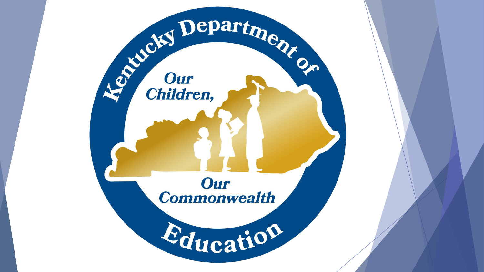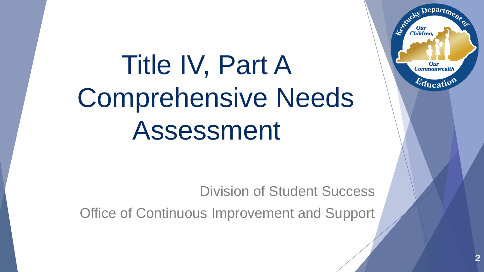# Title IV, Part A Comprehensive Needs Assessment

Division of Student Success

Office of Continuous Improvement and Support

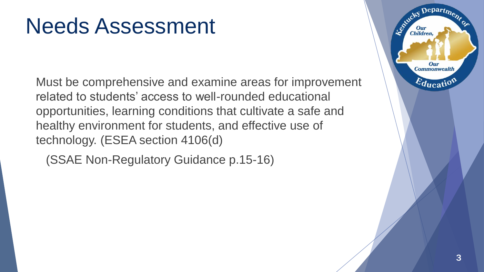#### Needs Assessment

Must be comprehensive and examine areas for improvement related to students' access to well-rounded educational opportunities, learning conditions that cultivate a safe and healthy environment for students, and effective use of technology. (ESEA section 4106(d)

(SSAE Non-Regulatory Guidance p.15-16)

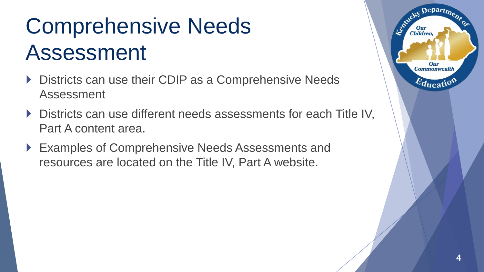# Comprehensive Needs Assessment

- ▶ Districts can use their CDIP as a Comprehensive Needs Assessment
- ▶ Districts can use different needs assessments for each Title IV, Part A content area.
- ▶ Examples of Comprehensive Needs Assessments and resources are located on the Title IV, Part A website.

 $\epsilon$  Depart<sub>m</sub>

Our **Commonwealth** 

 $E_{\text{ducati}}$ 

**Children**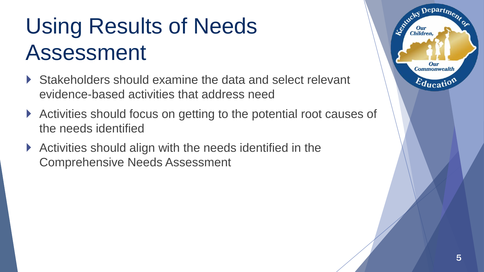# Using Results of Needs Assessment

- ▶ Stakeholders should examine the data and select relevant evidence-based activities that address need
- Activities should focus on getting to the potential root causes of the needs identified
- Activities should align with the needs identified in the Comprehensive Needs Assessment

 $Depart_{D}$ 

Our **Commonwealth** 

 $E_{\text{ducati}}$ 

**Children**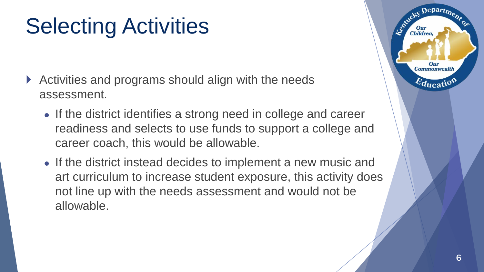# Selecting Activities

- ▶ Activities and programs should align with the needs assessment.
	- If the district identifies a strong need in college and career readiness and selects to use funds to support a college and career coach, this would be allowable.
	- If the district instead decides to implement a new music and art curriculum to increase student exposure, this activity does not line up with the needs assessment and would not be allowable.

Depart<sub>m</sub>

Our **Commonwealth** 

 $E_{\text{ducati}}$ 

Children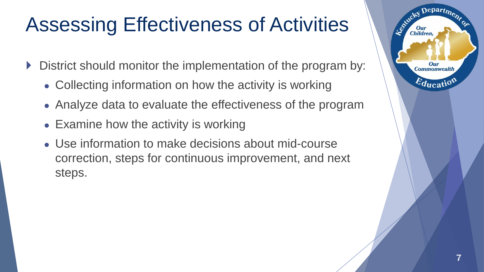#### Assessing Effectiveness of Activities

- District should monitor the implementation of the program by:
	- Collecting information on how the activity is working
	- Analyze data to evaluate the effectiveness of the program
	- Examine how the activity is working
	- Use information to make decisions about mid-course correction, steps for continuous improvement, and next steps.

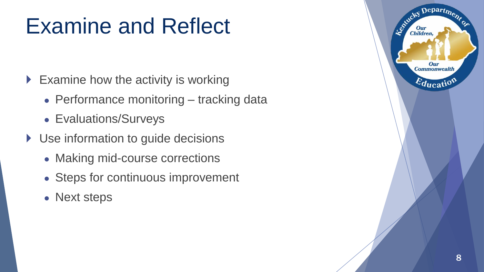### Examine and Reflect

 $\triangleright$  Examine how the activity is working

- Performance monitoring tracking data
- Evaluations/Surveys
- ▶ Use information to guide decisions
	- Making mid-course corrections
	- Steps for continuous improvement
	- Next steps